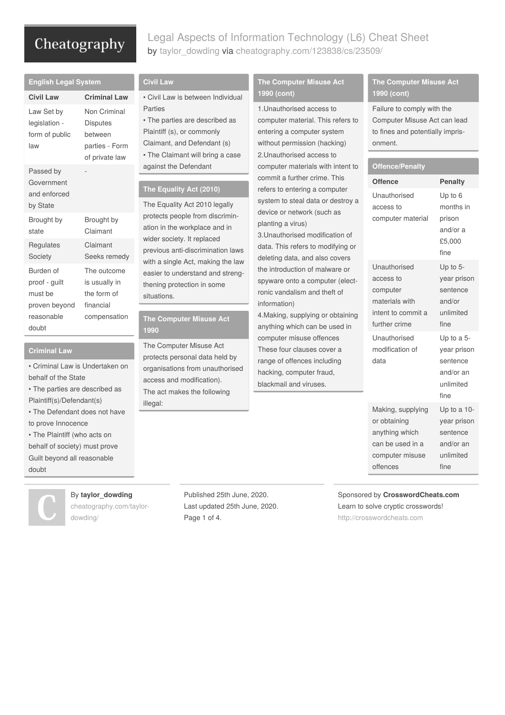Legal Aspects of Information Technology (L6) Cheat Sheet by [taylor\\_dowding](http://www.cheatography.com/taylor-dowding/) via [cheatography.com/123838/cs/23509/](http://www.cheatography.com/taylor-dowding/cheat-sheets/legal-aspects-of-information-technology-l6)

### **English Legal System**

| <b>Civil Law</b>                                                              | <b>Criminal Law</b>                                                            |
|-------------------------------------------------------------------------------|--------------------------------------------------------------------------------|
| Law Set by<br>legislation -<br>form of public<br>law                          | Non Criminal<br><b>Disputes</b><br>between<br>parties - Form<br>of private law |
| Passed by<br>Government<br>and enforced<br>by State                           |                                                                                |
| Brought by<br>state                                                           | Brought by<br>Claimant                                                         |
| Regulates<br>Society                                                          | Claimant<br>Seeks remedy                                                       |
| Burden of<br>proof - guilt<br>must be<br>proven beyond<br>reasonable<br>doubt | The outcome<br>is usually in<br>the form of<br>financial<br>compensation       |

### **Criminal Law**

- Criminal Law is Undertaken on behalf of the State
- The parties are described as Plaintiff(s)/Defendant(s)
- The Defendant does not have
- to prove Innocence
- The Plaintiff (who acts on behalf of society) must prove Guilt beyond all reasonable doubt



### By **taylor\_dowding** [cheatography.com/taylor-](http://www.cheatography.com/taylor-dowding/)

dowding/

## **Civil Law**

| • Civil Law is between Individual                                |  |
|------------------------------------------------------------------|--|
| Parties                                                          |  |
| • The parties are described as                                   |  |
| Plaintiff (s), or commonly                                       |  |
| Claimant, and Defendant (s)                                      |  |
| • The Claimant will bring a case                                 |  |
| against the Defendant                                            |  |
|                                                                  |  |
| The Equality Act (2010)                                          |  |
| The Equality Act 2010 legally<br>protects people from discrimin- |  |

protects people from discrimin‐ ation in the workplace and in wider society. It replaced previous anti-discrimination laws with a single Act, making the law easier to understand and streng‐ thening protection in some situations.

### **The Computer Misuse Act 1990**

The Computer Misuse Act protects personal data held by organisations from unauthorised access and modification). The act makes the following illegal:

### **The Computer Misuse Act 1990 (cont)**

#### 1.Unauthorised access to

computer material. This refers to entering a computer system without permission (hacking) 2.Unauthorised access to computer materials with intent to commit a further crime. This refers to entering a computer system to steal data or destroy a device or network (such as planting a virus)

3.Unauthorised modification of data. This refers to modifying or deleting data, and also covers the introduction of malware or spyware onto a computer (elect‐ ronic vandalism and theft of information)

4.Making, supplying or obtaining anything which can be used in computer misuse offences These four clauses cover a range of offences including hacking, computer fraud, blackmail and viruses.

### **The Computer Misuse Act 1990 (cont)**

Failure to comply with the Computer Misuse Act can lead to fines and potentially impris‐ onment.

### **Offence/Penalty**

| <b>Offence</b>                                                                                         | <b>Penalty</b>                                                           |
|--------------------------------------------------------------------------------------------------------|--------------------------------------------------------------------------|
| Unauthorised<br>access to<br>computer material                                                         | Up to 6<br>months in<br>prison<br>and/or a<br>£5,000<br>fine             |
| Unauthorised<br>access to<br>computer<br>materials with<br>intent to commit a<br>further crime         | Up to $5-$<br>year prison<br>sentence<br>and/or<br>unlimited<br>fine     |
| Unauthorised<br>modification of<br>data                                                                | Up to a 5-<br>year prison<br>sentence<br>and/or an<br>unlimited<br>fine  |
| Making, supplying<br>or obtaining<br>anything which<br>can be used in a<br>computer misuse<br>offences | Up to a 10-<br>year prison<br>sentence<br>and/or an<br>unlimited<br>fine |

Published 25th June, 2020. Last updated 25th June, 2020. Page 1 of 4.

#### Sponsored by **CrosswordCheats.com**

Learn to solve cryptic crosswords!

<http://crosswordcheats.com>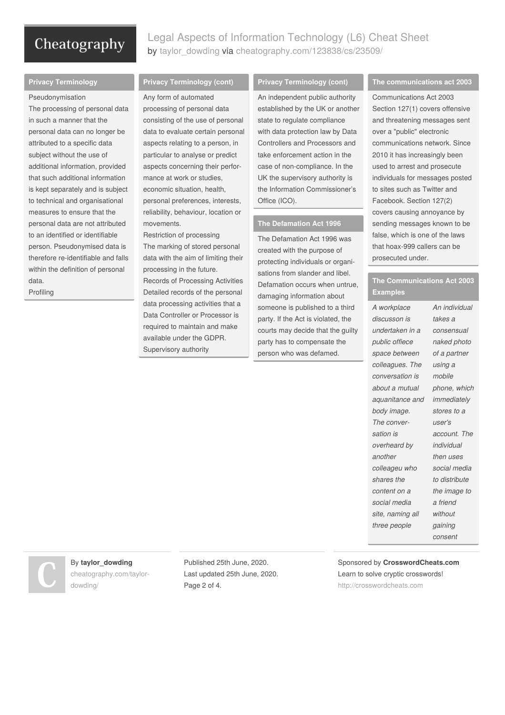Legal Aspects of Information Technology (L6) Cheat Sheet by [taylor\\_dowding](http://www.cheatography.com/taylor-dowding/) via [cheatography.com/123838/cs/23509/](http://www.cheatography.com/taylor-dowding/cheat-sheets/legal-aspects-of-information-technology-l6)

### **Privacy Terminology**

Pseudonymisation

The processing of personal data in such a manner that the personal data can no longer be attributed to a specific data subject without the use of additional information, provided that such additional information is kept separately and is subject to technical and organisational measures to ensure that the personal data are not attributed to an identified or identifiable person. Pseudonymised data is therefore re-identifiable and falls within the definition of personal data.

Profiling

### **Privacy Terminology (cont)**

Any form of automated processing of personal data consisting of the use of personal data to evaluate certain personal aspects relating to a person, in particular to analyse or predict aspects concerning their perfor‐ mance at work or studies, economic situation, health, personal preferences, interests, reliability, behaviour, location or movements.

Restriction of processing The marking of stored personal data with the aim of limiting their processing in the future.

Records of Processing Activities Detailed records of the personal data processing activities that a Data Controller or Processor is required to maintain and make available under the GDPR. Supervisory authority

### **Privacy Terminology (cont)**

An independent public authority established by the UK or another state to regulate compliance with data protection law by Data Controllers and Processors and take enforcement action in the case of non-compliance. In the UK the supervisory authority is the Information Commissioner's Office (ICO).

### **The Defamation Act 1996**

The Defamation Act 1996 was created with the purpose of protecting individuals or organi‐ sations from slander and libel. Defamation occurs when untrue, damaging information about someone is published to a third party. If the Act is violated, the courts may decide that the guilty party has to compensate the person who was defamed.

#### **The communications act 2003**

Communications Act 2003 Section 127(1) covers offensive and threatening messages sent over a "public" electronic communications network. Since 2010 it has increasingly been used to arrest and prosecute individuals for messages posted to sites such as Twitter and Facebook. Section 127(2) covers causing annoyance by sending messages known to be false, which is one of the laws that hoax-999 callers can be prosecuted under.

### **The Communications Act 2003 Examples**

| A workplace      | An individual |
|------------------|---------------|
| discusson is     | takes a       |
| undertaken in a  | consensual    |
| public offiece   | naked photo   |
| space between    | of a partner  |
| colleagues. The  | using a       |
| conversation is  | mobile        |
| about a mutual   | phone, which  |
| aquanitance and  | immediately   |
| body image.      | stores to a   |
| The conver-      | user's        |
| sation is        | account. The  |
| overheard by     | individual    |
| another          | then uses     |
| colleageu who    | social media  |
| shares the       | to distribute |
| content on a     | the image to  |
| social media     | a friend      |
| site, naming all | without       |
| three people     | gaining       |
|                  | consent       |

By **taylor\_dowding** [cheatography.com/taylor](http://www.cheatography.com/taylor-dowding/)dowding/

Published 25th June, 2020. Last updated 25th June, 2020. Page 2 of 4.

Sponsored by **CrosswordCheats.com** Learn to solve cryptic crosswords! <http://crosswordcheats.com>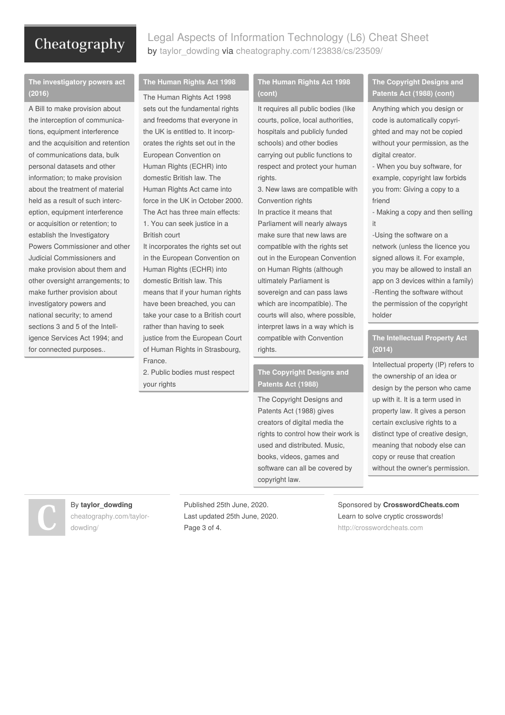Legal Aspects of Information Technology (L6) Cheat Sheet by [taylor\\_dowding](http://www.cheatography.com/taylor-dowding/) via [cheatography.com/123838/cs/23509/](http://www.cheatography.com/taylor-dowding/cheat-sheets/legal-aspects-of-information-technology-l6)

### **The investigatory powers act (2016)**

A Bill to make provision about the interception of communications, equipment interference and the acquisition and retention of communications data, bulk personal datasets and other information; to make provision about the treatment of material held as a result of such interc‐ eption, equipment interference or acquisition or retention; to establish the Investigatory Powers Commissioner and other Judicial Commissioners and make provision about them and other oversight arrangements; to make further provision about investigatory powers and national security; to amend sections 3 and 5 of the Intell‐ igence Services Act 1994; and for connected purposes..

### **The Human Rights Act 1998**

The Human Rights Act 1998 sets out the fundamental rights and freedoms that everyone in the UK is entitled to. It incorp‐ orates the rights set out in the European Convention on Human Rights (ECHR) into domestic British law. The Human Rights Act came into force in the UK in October 2000. The Act has three main effects: 1. You can seek justice in a British court It incorporates the rights set out in the European Convention on Human Rights (ECHR) into domestic British law. This means that if your human rights have been breached, you can take your case to a British court rather than having to seek justice from the European Court of Human Rights in Strasbourg,

2. Public bodies must respect your rights

France.

### **The Human Rights Act 1998 (cont)**

It requires all public bodies (like courts, police, local authorities, hospitals and publicly funded schools) and other bodies carrying out public functions to respect and protect your human rights.

3. New laws are compatible with Convention rights

In practice it means that Parliament will nearly always make sure that new laws are compatible with the rights set out in the European Convention on Human Rights (although ultimately Parliament is sovereign and can pass laws which are incompatible). The courts will also, where possible, interpret laws in a way which is compatible with Convention rights.

### **The Copyright Designs and Patents Act (1988)**

The Copyright Designs and Patents Act (1988) gives creators of digital media the rights to control how their work is used and distributed. Music, books, videos, games and software can all be covered by copyright law.

### **The Copyright Designs and Patents Act (1988) (cont)**

Anything which you design or code is automatically copyri‐ ghted and may not be copied without your permission, as the digital creator.

- When you buy software, for example, copyright law forbids you from: Giving a copy to a friend

- Making a copy and then selling it

-Using the software on a network (unless the licence you signed allows it. For example, you may be allowed to install an app on 3 devices within a family) -Renting the software without the permission of the copyright holder

### **The Intellectual Property Act (2014)**

Intellectual property (IP) refers to the ownership of an idea or design by the person who came up with it. It is a term used in property law. It gives a person certain exclusive rights to a distinct type of creative design, meaning that nobody else can copy or reuse that creation without the owner's permission.

## By **taylor\_dowding**

[cheatography.com/taylor](http://www.cheatography.com/taylor-dowding/)dowding/

Published 25th June, 2020. Last updated 25th June, 2020. Page 3 of 4.

Sponsored by **CrosswordCheats.com** Learn to solve cryptic crosswords! <http://crosswordcheats.com>